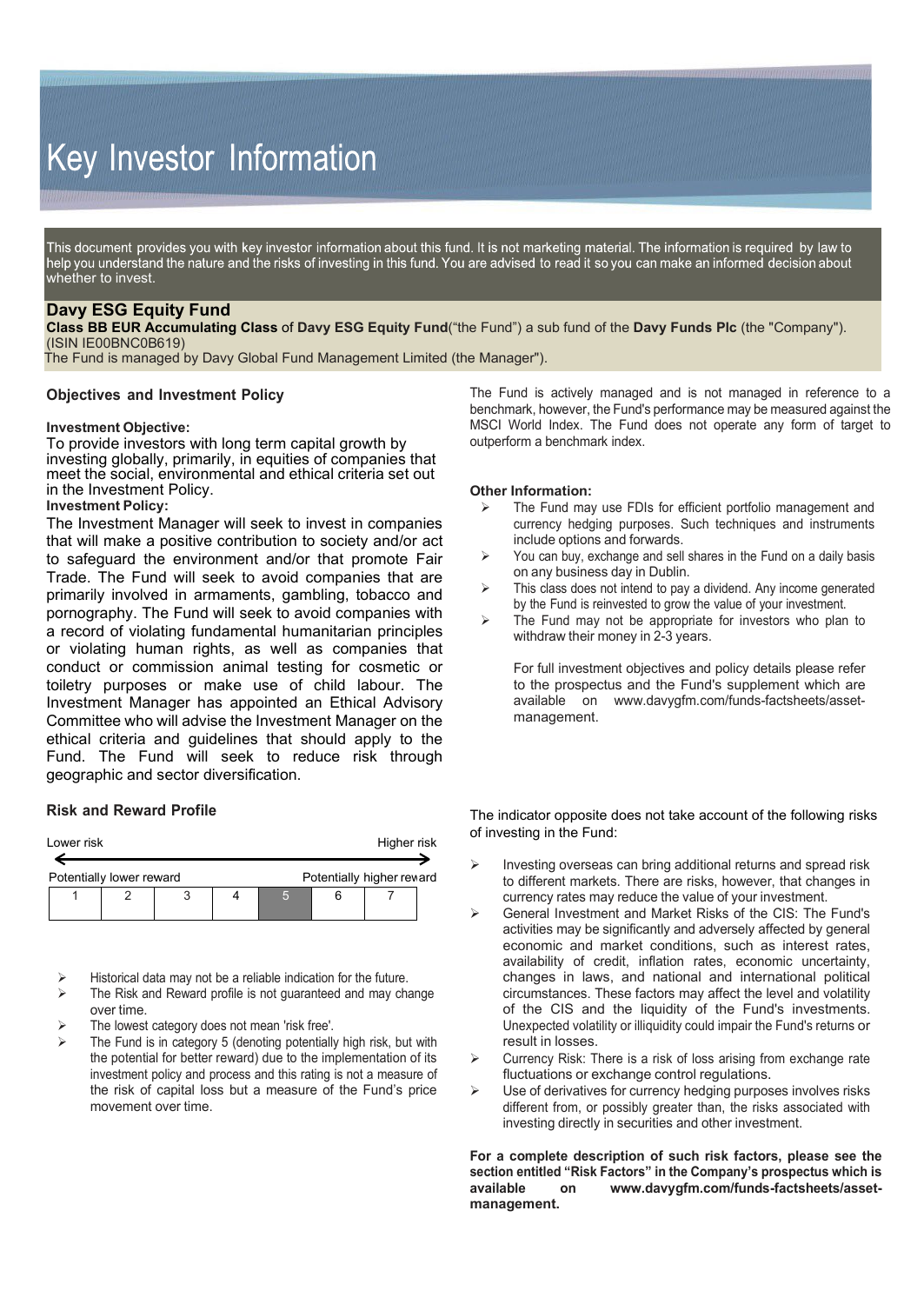# Key Investor Information

This document provides you with key investor information about this fund. It is not marketing material. The information is required by law to help you understand the nature and the risks of investing in this fund. You are advised to read it so you can make an informed decision about whether to invest.

## **Davy ESG Equity Fund**

**Class BB EUR Accumulating Class** of **Davy ESG Equity Fund**("the Fund") a sub fund of the **Davy Funds Plc** (the "Company"). (ISIN IE00BNC0B619)

The Fund is managed by Davy Global Fund Management Limited (the Manager").

#### **Objectives and Investment Policy**

#### **Investment Objective:**

To provide investors with long term capital growth by investing globally, primarily, in equities of companies that meet the social, environmental and ethical criteria set out in the Investment Policy.

## **Investment Policy:**

The Investment Manager will seek to invest in companies that will make a positive contribution to society and/or act to safeguard the environment and/or that promote Fair Trade. The Fund will seek to avoid companies that are primarily involved in armaments, gambling, tobacco and pornography. The Fund will seek to avoid companies with a record of violating fundamental humanitarian principles or violating human rights, as well as companies that conduct or commission animal testing for cosmetic or toiletry purposes or make use of child labour. The Investment Manager has appointed an Ethical Advisory Committee who will advise the Investment Manager on the ethical criteria and guidelines that should apply to the Fund. The Fund will seek to reduce risk through geographic and sector diversification.

## **Risk and Reward Profile**

| Higher risk<br>Lower risk                             |  |  |  |  |  |  |  |  |  |
|-------------------------------------------------------|--|--|--|--|--|--|--|--|--|
| Potentially higher reward<br>Potentially lower reward |  |  |  |  |  |  |  |  |  |
|                                                       |  |  |  |  |  |  |  |  |  |

Historical data may not be a reliable indication for the future.

- $\triangleright$  The Risk and Reward profile is not guaranteed and may change over time.
- The lowest category does not mean 'risk free'.
- The Fund is in category 5 (denoting potentially high risk, but with the potential for better reward) due to the implementation of its investment policy and process and this rating is not a measure of the risk of capital loss but a measure of the Fund's price movement over time.

The Fund is actively managed and is not managed in reference to a benchmark, however, the Fund's performance may be measured against the MSCI World Index. The Fund does not operate any form of target to outperform a benchmark index.

#### **Other Information:**

- The Fund may use FDIs for efficient portfolio management and currency hedging purposes. Such techniques and instruments include options and forwards.
- $\triangleright$  You can buy, exchange and sell shares in the Fund on a daily basis on any business day in Dublin.
- $\triangleright$  This class does not intend to pay a dividend. Any income generated by the Fund is reinvested to grow the value of your investment.
- $\triangleright$  The Fund may not be appropriate for investors who plan to withdraw their money in 2-3 years.

For full investment objectives and policy details please refer to the prospectus and the Fund's supplement which are available on [www.davygfm.com/funds-factsheets/asset](http://www.davygfm.com/funds-factsheets/asset-)management.

The indicator opposite does not take account of the following risks of investing in the Fund:

- $\triangleright$  Investing overseas can bring additional returns and spread risk to different markets. There are risks, however, that changes in currency rates may reduce the value of your investment.
- General Investment and Market Risks of the CIS: The Fund's activities may be significantly and adversely affected by general economic and market conditions, such as interest rates, availability of credit, inflation rates, economic uncertainty, changes in laws, and national and international political circumstances. These factors may affect the level and volatility of the CIS and the liquidity of the Fund's investments. Unexpected volatility or illiquidity could impair the Fund's returns or result in losses.
- $\triangleright$  Currency Risk: There is a risk of loss arising from exchange rate fluctuations or exchange control regulations.
- Use of derivatives for currency hedging purposes involves risks different from, or possibly greater than, the risks associated with investing directly in securities and other investment.

**For a complete description of such risk factors, please see the section entitled "Risk Factors" in the Company's prospectus which is available on [www.davygfm.com/funds-factsheets/asset](http://www.davygfm.com/funds-factsheets/asset-)management.**